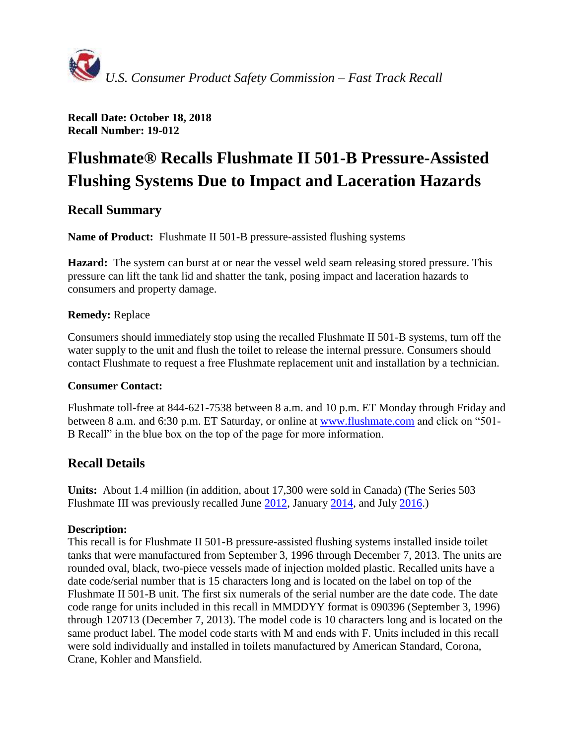

**Recall Date: October 18, 2018 Recall Number: 19-012** 

# **Flushmate® Recalls Flushmate II 501-B Pressure-Assisted Flushing Systems Due to Impact and Laceration Hazards**

## **Recall Summary**

**Name of Product:** Flushmate II 501-B pressure-assisted flushing systems

**Hazard:** The system can burst at or near the vessel weld seam releasing stored pressure. This pressure can lift the tank lid and shatter the tank, posing impact and laceration hazards to consumers and property damage.

### **Remedy:** Replace

Consumers should immediately stop using the recalled Flushmate II 501-B systems, turn off the water supply to the unit and flush the toilet to release the internal pressure. Consumers should contact Flushmate to request a free Flushmate replacement unit and installation by a technician.

## **Consumer Contact:**

Flushmate toll-free at 844-621-7538 between 8 a.m. and 10 p.m. ET Monday through Friday and between 8 a.m. and 6:30 p.m. ET Saturday, or online at [www.flushmate.com](http://www.flushmate.com/501B-recall) and click on "501- B Recall" in the blue box on the top of the page for more information.

## **Recall Details**

**Units:** About 1.4 million (in addition, about 17,300 were sold in Canada) (The Series 503 Flushmate III was previously recalled June [2012,](https://www.cpsc.gov/Recalls/2012/Flushmate-Recalls-Flushmate-III-Pressure-Assisted-Flushing-System-Due-to-Impact-and-Laceration-Hazards) January [2014,](https://www.cpsc.gov/Recalls/2014/flushmate-expands-recall-of-flushmate-iii-pressure-assisted-flushing-system) and July [2016.](https://www.cpsc.gov/Recalls/2016/flushmate-expands-recall-of-flushmate-iii-pressure-assisted-flushing-systems))

#### **Description:**

This recall is for Flushmate II 501-B pressure-assisted flushing systems installed inside toilet tanks that were manufactured from September 3, 1996 through December 7, 2013. The units are rounded oval, black, two-piece vessels made of injection molded plastic. Recalled units have a date code/serial number that is 15 characters long and is located on the label on top of the Flushmate II 501-B unit. The first six numerals of the serial number are the date code. The date code range for units included in this recall in MMDDYY format is 090396 (September 3, 1996) through 120713 (December 7, 2013). The model code is 10 characters long and is located on the same product label. The model code starts with M and ends with F. Units included in this recall were sold individually and installed in toilets manufactured by American Standard, Corona, Crane, Kohler and Mansfield.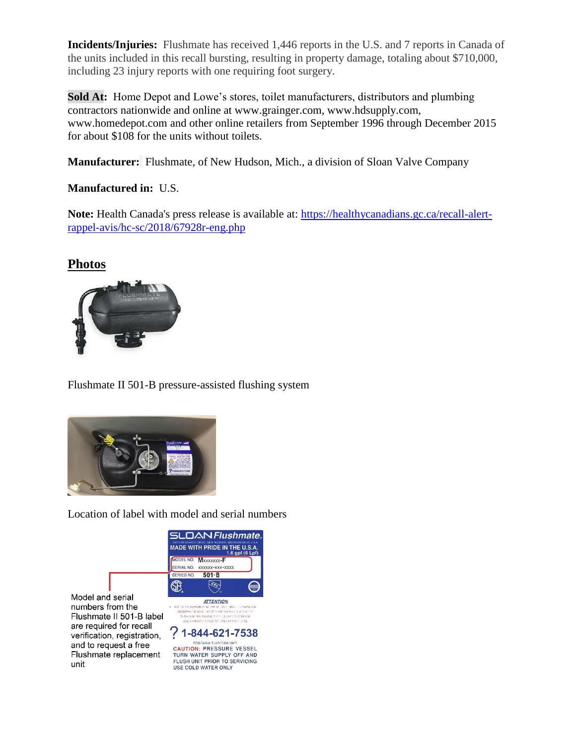**Incidents/Injuries:** Flushmate has received 1,446 reports in the U.S. and 7 reports in Canada of the units included in this recall bursting, resulting in property damage, totaling about \$710,000, including 23 injury reports with one requiring foot surgery.

**Sold At:** Home Depot and Lowe's stores, toilet manufacturers, distributors and plumbing contractors nationwide and online at www.grainger.com, www.hdsupply.com, www.homedepot.com and other online retailers from September 1996 through December 2015 for about \$108 for the units without toilets.

**Manufacturer:** Flushmate, of New Hudson, Mich., a division of Sloan Valve Company

**Manufactured in:** U.S.

**Note:** Health Canada's press release is available at: [https://healthycanadians.gc.ca/recall-alert](https://healthycanadians.gc.ca/recall-alert-rappel-avis/hc-sc/2018/67928r-eng.php)[rappel-avis/hc-sc/2018/67928r-eng.php](https://healthycanadians.gc.ca/recall-alert-rappel-avis/hc-sc/2018/67928r-eng.php)

## **Photos**

unit



Flushmate II 501-B pressure-assisted flushing system



Location of label with model and serial numbers